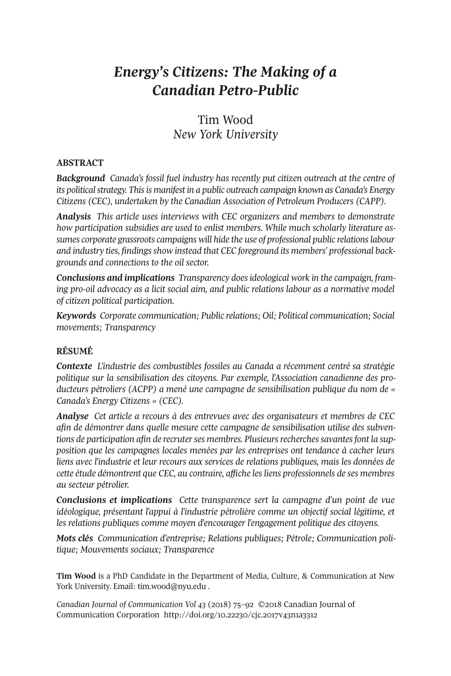# *Energy's Citizens: The Making of a Canadian Petro-Public*

# Tim Wood *New York University*

### **ABSTRACT**

*Background Canada's fossil fuel industry has recently put citizen outreach at the centre of its politicalstrategy. Thisis manifest in a public outreach campaign known as Canada's Energy Citizens (CEC), undertaken by the Canadian Association of Petroleum Producers (CAPP).*

*Analysis This article uses interviews with CEC organizers and members to demonstrate how participation subsidies are used to enlist members. While much scholarly literature assumes corporate grassroots campaigns will hide the use of professional public relationslabour and industry ties, findingsshow instead that CEC foreground its members' professional backgrounds and connections to the oil sector.*

*Conclusions and implications Transparency doesideological work in the campaign, framing pro-oil advocacy as a licit social aim, and public relations labour as a normative model of citizen political participation.*

*Keywords Corporate communication; Public relations; Oil; Political communication; Social movements; Transparency*

# **RÉSUMÉ**

*Contexte L'industrie des combustibles fossiles au Canada a récemment centré sa stratégie politique sur la sensibilisation des citoyens. Par exemple, l'Association canadienne des producteurs pétroliers (ACPP) a mené une campagne de sensibilisation publique du nom de « Canada's Energy Citizens » (CEC).*

*Analyse Cet article a recours à des entrevues avec des organisateurs et membres de CEC afin de démontrer dans quelle mesure cette campagne de sensibilisation utilise des subventions de participation afin de recruterses membres. Plusieursrecherchessavantesfont la supposition que les campagnes locales menées par les entreprises ont tendance à cacher leurs liens avec l'industrie et leur recours aux services de relations publiques, mais les données de cette étude démontrent que CEC, au contraire, affiche lesliens professionnels de ses membres au secteur pétrolier.*

*Conclusions et implications Cette transparence sert la campagne d'un point de vue idéologique, présentant l'appui à l'industrie pétrolière comme un objectif social légitime, et les relations publiques comme moyen d'encourager l'engagement politique des citoyens.*

*Mots clés Communication d'entreprise; Relations publiques; Pétrole; Communication politique; Mouvements sociaux; Transparence*

**Tim Wood** is a PhD Candidate in the Department of Media, Culture, & Communication at New York University. Email: [tim.wood@nyu.edu](mailto:tim.wood@nyu.edu) .

*Canadian Journal of [Communication](http://www.cjc-online.ca) Vol 43* (2018) 75–92 ©2018 Canadian Journal of Communication Corporation <http://doi.org/10.22230/cjc.2017v43n1a3312>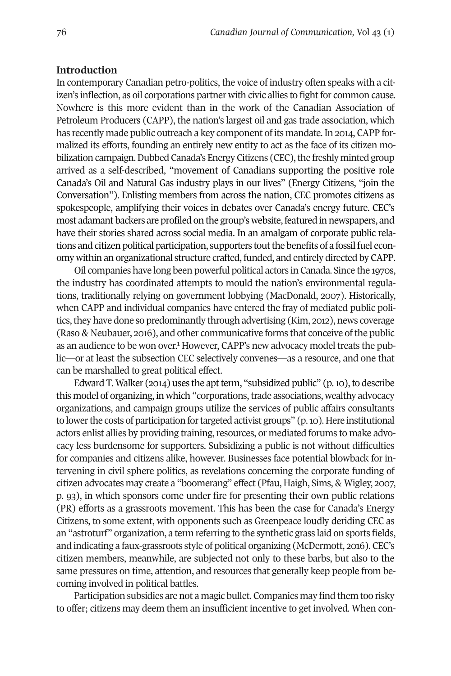# **Introduction**

In contemporary Canadian petro-politics, the voice of industry often speaks with a citizen's inflection, as oil corporations partner with civic allies to fight for common cause. Nowhere is this more evident than in the work of the Canadian Association of Petroleum Producers (CAPP), the nation's largest oil and gas trade association, which has recently made public outreach a key component of its mandate. In 2014, CAPP formalized its efforts, founding an entirely new entity to act as the face of its citizen mobilization campaign. Dubbed Canada's Energy Citizens (CEC), the freshly minted group arrived as a self-described, "movement of Canadians supporting the positive role Canada's Oil and Natural Gas industry plays in our lives" (Energy Citizens, "join the Conversation"). Enlisting members from across the nation, CEC promotes citizens as spokespeople, amplifying their voices in debates over Canada's energy future. CEC's most adamant backers are profiled on the group's website, featured in newspapers, and have their stories shared across social media. In an amalgam of corporate public relations and citizen political participation, supporters tout the benefits of a fossil fuel economy within an organizational structure crafted, funded, and entirely directed by CAPP.

Oil companies have long been powerful political actors in Canada. Since the 1970s, the industry has coordinated attempts to mould the nation's environmental regulations, traditionally relying on government lobbying (MacDonald, 2007). Historically, when CAPP and individual companies have entered the fray of mediated public politics, they have done so predominantly through advertising (Kim, 2012), news coverage (Raso & Neubauer, 2016), and other communicative forms that conceive of the public as an audience to be won over. <sup>1</sup> However, CAPP's new advocacy model treats the public—or at least the subsection CEC selectively convenes—as a resource, and one that can be marshalled to great political effect.

Edward T. Walker (2014) uses the apt term, "subsidized public" (p. 10), to describe this model of organizing, in which "corporations, trade associations, wealthy advocacy organizations, and campaign groups utilize the services of public affairs consultants to lower the costs of participation for targeted activist groups" (p. 10). Here institutional actors enlist allies by providing training, resources, or mediated forums to make advocacy less burdensome for supporters. Subsidizing a public is not without difficulties for companies and citizens alike, however. Businesses face potential blowback for intervening in civil sphere politics, as revelations concerning the corporate funding of citizen advocates may create a "boomerang" effect (Pfau, Haigh, Sims, & Wigley, 2007, p. 93), in which sponsors come under fire for presenting their own public relations (PR) efforts as a grassroots movement. This has been the case for Canada's Energy Citizens, to some extent, with opponents such as Greenpeace loudly deriding CEC as an "astroturf" organization, a term referring to the synthetic grass laid on sports fields, and indicating a faux-grassroots style of political organizing (McDermott, 2016). CEC's citizen members, meanwhile, are subjected not only to these barbs, but also to the same pressures on time, attention, and resources that generally keep people from becoming involved in political battles.

Participation subsidies are not a magic bullet. Companies may find them too risky to offer; citizens may deem them an insufficient incentive to get involved. When con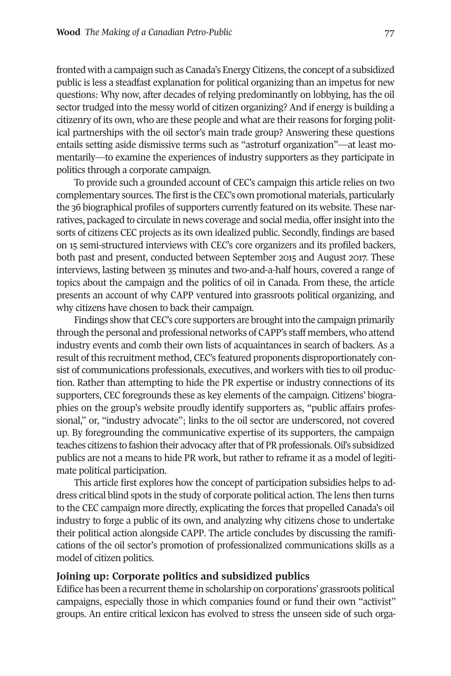fronted with a campaign such as Canada's Energy Citizens,the concept of a subsidized public is less a steadfast explanation for political organizing than an impetus for new questions: Why now, after decades of relying predominantly on lobbying, has the oil sector trudged into the messy world of citizen organizing? And if energy is building a citizenry of its own, who are these people and what are their reasons for forging political partnerships with the oil sector's main trade group? Answering these questions entails setting aside dismissive terms such as "astroturf organization"—at least momentarily—to examine the experiences of industry supporters as they participate in politics through a corporate campaign.

To provide such a grounded account of CEC's campaign this article relies on two complementary sources. The firstis the CEC's own promotional materials, particularly the 36 biographical profiles of supporters currently featured on its website. These narratives, packaged to circulate in news coverage and social media, offerinsight into the sorts of citizens CEC projects as its own idealized public. Secondly, findings are based on 15 semi-structured interviews with CEC's core organizers and its profiled backers, both past and present, conducted between September 2015 and August 2017. These interviews, lasting between 35 minutes and two-and-a-half hours, covered a range of topics about the campaign and the politics of oil in Canada. From these, the article presents an account of why CAPP ventured into grassroots political organizing, and why citizens have chosen to back their campaign.

Findings show that CEC's core supporters are brought into the campaign primarily through the personal and professional networks of CAPP's staff members, who attend industry events and comb their own lists of acquaintances in search of backers. As a result of this recruitment method, CEC's featured proponents disproportionately consist of communications professionals, executives, and workers with ties to oil production. Rather than attempting to hide the PR expertise or industry connections of its supporters, CEC foregrounds these as key elements of the campaign. Citizens' biographies on the group's website proudly identify supporters as, "public affairs professional," or, "industry advocate"; links to the oil sector are underscored, not covered up. By foregrounding the communicative expertise of its supporters, the campaign teaches citizens to fashion their advocacy after that of PR professionals. Oil's subsidized publics are not a means to hide PR work, but rather to reframe it as a model of legitimate political participation.

This article first explores how the concept of participation subsidies helps to address critical blind spots in the study of corporate political action. The lens then turns to the CEC campaign more directly, explicating the forces that propelled Canada's oil industry to forge a public of its own, and analyzing why citizens chose to undertake their political action alongside CAPP. The article concludes by discussing the ramifications of the oil sector's promotion of professionalized communications skills as a model of citizen politics.

#### **Joining up: Corporate politics and subsidized publics**

Edifice has been a recurrent theme in scholarship on corporations' grassroots political campaigns, especially those in which companies found or fund their own "activist" groups. An entire critical lexicon has evolved to stress the unseen side of such orga-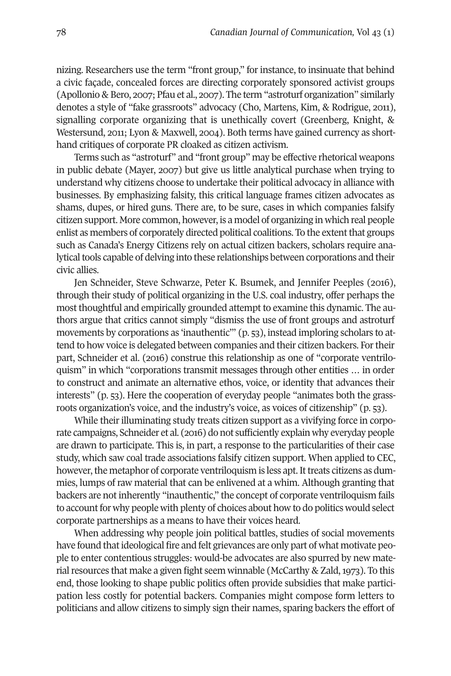nizing. Researchers use the term "front group," for instance, to insinuate that behind a civic façade, concealed forces are directing corporately sponsored activist groups (Apollonio & Bero, 2007; Pfau et al., 2007). The term "astroturf organization" similarly denotes a style of "fake grassroots" advocacy (Cho, Martens, Kim, & Rodrigue, 2011), signalling corporate organizing that is unethically covert (Greenberg, Knight, & Westersund, 2011; Lyon & Maxwell, 2004). Both terms have gained currency as shorthand critiques of corporate PR cloaked as citizen activism.

Terms such as "astroturf" and "front group" may be effective rhetorical weapons in public debate (Mayer, 2007) but give us little analytical purchase when trying to understand why citizens choose to undertake their political advocacy in alliance with businesses. By emphasizing falsity, this critical language frames citizen advocates as shams, dupes, or hired guns. There are, to be sure, cases in which companies falsify citizen support. More common, however, is a model of organizing in which real people enlist as members of corporately directed political coalitions. To the extentthat groups such as Canada's Energy Citizens rely on actual citizen backers, scholars require analytical tools capable of delving into these relationships between corporations and their civic allies.

Jen Schneider, Steve Schwarze, Peter K. Bsumek, and Jennifer Peeples (2016), through their study of political organizing in the U.S. coal industry, offer perhaps the most thoughtful and empirically grounded attempt to examine this dynamic. The authors argue that critics cannot simply "dismiss the use of front groups and astroturf movements by corporations as 'inauthentic'" (p. 53), instead imploring scholars to attend to how voice is delegated between companies and their citizen backers. Fortheir part, Schneider et al. (2016) construe this relationship as one of "corporate ventriloquism" in which "corporations transmit messages through other entities … in order to construct and animate an alternative ethos, voice, or identity that advances their interests" (p. 53). Here the cooperation of everyday people "animates both the grassroots organization's voice, and the industry's voice, as voices of citizenship" (p. 53).

While their illuminating study treats citizen support as a vivifying force in corporate campaigns, Schneider et al. (2016) do not sufficiently explain why everyday people are drawn to participate. This is, in part, a response to the particularities of their case study, which saw coal trade associations falsify citizen support. When applied to CEC, however, the metaphor of corporate ventriloquism is less apt. It treats citizens as dummies, lumps of raw material that can be enlivened at a whim. Although granting that backers are not inherently "inauthentic," the concept of corporate ventriloquism fails to account for why people with plenty of choices about how to do politics would select corporate partnerships as a means to have their voices heard.

When addressing why people join political battles, studies of social movements have found that ideological fire and felt grievances are only part of what motivate people to enter contentious struggles: would-be advocates are also spurred by new material resources that make a given fight seem winnable (McCarthy  $\&$  Zald, 1973). To this end, those looking to shape public politics often provide subsidies that make participation less costly for potential backers. Companies might compose form letters to politicians and allow citizens to simply sign their names, sparing backers the effort of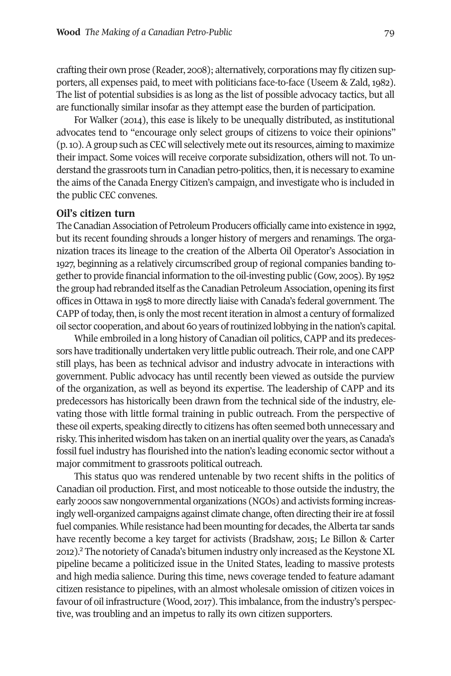crafting their own prose (Reader, 2008); alternatively, corporations may fly citizen supporters, all expenses paid, to meet with politicians face-to-face (Useem & Zald, 1982). The list of potential subsidies is as long as the list of possible advocacy tactics, but all are functionally similar insofar as they attempt ease the burden of participation.

For Walker (2014), this ease is likely to be unequally distributed, as institutional advocates tend to "encourage only select groups of citizens to voice their opinions" (p.10).Agroup such as CEC will selectively mete outits resources, aiming to maximize their impact. Some voices will receive corporate subsidization, others will not. To understand the grassroots turn in Canadian petro-politics, then, it is necessary to examine the aims of the Canada Energy Citizen's campaign, and investigate who is included in the public CEC convenes.

#### **Oil's citizen turn**

The Canadian Association of Petroleum Producers officially came into existence in 1992, but its recent founding shrouds a longer history of mergers and renamings. The organization traces its lineage to the creation of the Alberta Oil Operator's Association in 1927, beginning as a relatively circumscribed group of regional companies banding together to provide financial information to the oil-investing public (Gow, 2005). By 1952 the group had rebranded itself as the Canadian Petroleum Association, opening its first offices in Ottawa in 1958 to more directly liaise with Canada's federal government. The CAPP of today, then, is only the most recent iteration in almost a century of formalized oil sector cooperation, and about 60 years ofroutinized lobbying in the nation's capital.

While embroiled in a long history of Canadian oil politics, CAPP and its predecessors have traditionally undertaken very little public outreach. Theirrole, and one CAPP still plays, has been as technical advisor and industry advocate in interactions with government. Public advocacy has until recently been viewed as outside the purview of the organization, as well as beyond its expertise. The leadership of CAPP and its predecessors has historically been drawn from the technical side of the industry, elevating those with little formal training in public outreach. From the perspective of these oil experts, speaking directly to citizens has often seemed both unnecessary and risky. This inherited wisdom has taken on an inertial quality overthe years, as Canada's fossil fuel industry has flourished into the nation's leading economic sector without a major commitment to grassroots political outreach.

This status quo was rendered untenable by two recent shifts in the politics of Canadian oil production. First, and most noticeable to those outside the industry, the early 2000s saw nongovernmental organizations (NGOs) and activists forming increasingly well-organized campaigns against climate change, often directing their ire at fossil fuel companies. While resistance had been mounting for decades, the Alberta tar sands have recently become a key target for activists (Bradshaw, 2015; Le Billon & Carter 2012).<sup>2</sup> The notoriety of Canada's bitumen industry only increased as the Keystone XL pipeline became a politicized issue in the United States, leading to massive protests and high media salience. During this time, news coverage tended to feature adamant citizen resistance to pipelines, with an almost wholesale omission of citizen voices in favour of oil infrastructure (Wood, 2017). This imbalance, from the industry's perspective, was troubling and an impetus to rally its own citizen supporters.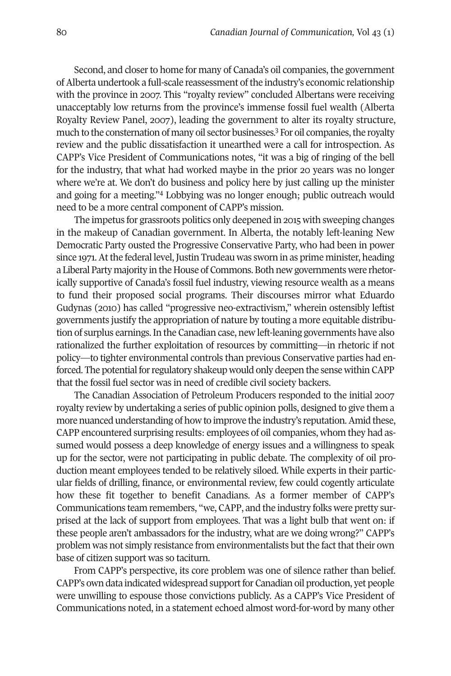Second, and closer to home for many of Canada's oil companies, the government ofAlberta undertook a full-scale reassessment ofthe industry's economic relationship with the province in 2007. This "royalty review" concluded Albertans were receiving unacceptably low returns from the province's immense fossil fuel wealth (Alberta Royalty Review Panel, 2007), leading the government to alter its royalty structure, much to the consternation of many oil sector businesses.<sup>3</sup> For oil companies, the royalty review and the public dissatisfaction it unearthed were a call for introspection. As CAPP's Vice President of Communications notes, "it was a big of ringing of the bell for the industry, that what had worked maybe in the prior 20 years was no longer where we're at. We don't do business and policy here by just calling up the minister and going for a meeting."4 Lobbying was no longer enough; public outreach would need to be a more central component of CAPP's mission.

The impetus for grassroots politics only deepened in 2015 with sweeping changes in the makeup of Canadian government. In Alberta, the notably left-leaning New Democratic Party ousted the Progressive Conservative Party, who had been in power since 1971. At the federal level, Justin Trudeau was sworn in as prime minister, heading a Liberal Party majority in the House of Commons.Both new governments were rhetorically supportive of Canada's fossil fuel industry, viewing resource wealth as a means to fund their proposed social programs. Their discourses mirror what Eduardo Gudynas (2010) has called "progressive neo-extractivism," wherein ostensibly leftist governments justify the appropriation of nature by touting a more equitable distribution of surplus earnings.In the Canadian case, new left-leaning governments have also rationalized the further exploitation of resources by committing—in rhetoric if not policy—to tighter environmental controls than previous Conservative parties had enforced. The potential for regulatory shakeup would only deepen the sense within CAPP that the fossil fuel sector was in need of credible civil society backers.

The Canadian Association of Petroleum Producers responded to the initial 2007 royalty review by undertaking a series of public opinion polls, designed to give them a more nuanced understanding of how to improve the industry's reputation.Amid these, CAPP encountered surprising results: employees of oil companies, whom they had assumed would possess a deep knowledge of energy issues and a willingness to speak up for the sector, were not participating in public debate. The complexity of oil production meant employees tended to be relatively siloed. While experts in their particular fields of drilling, finance, or environmental review, few could cogently articulate how these fit together to benefit Canadians. As a former member of CAPP's Communications team remembers, "we, CAPP, and the industry folks were pretty surprised at the lack of support from employees. That was a light bulb that went on: if these people aren't ambassadors for the industry, what are we doing wrong?" CAPP's problem was not simply resistance from environmentalists but the fact that their own base of citizen support was so taciturn.

From CAPP's perspective, its core problem was one of silence rather than belief. CAPP's own data indicated widespread support for Canadian oil production, yet people were unwilling to espouse those convictions publicly. As a CAPP's Vice President of Communications noted, in a statement echoed almost word-for-word by many other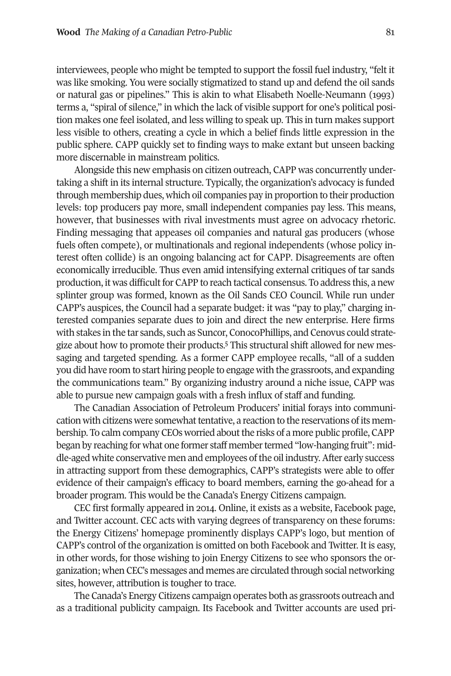interviewees, people who might be tempted to support the fossil fuel industry, "felt it was like smoking. You were socially stigmatized to stand up and defend the oil sands or natural gas or pipelines." This is akin to what Elisabeth Noelle-Neumann (1993) terms a, "spiral of silence," in which the lack of visible support for one's political position makes one feel isolated, and less willing to speak up. This in turn makes support less visible to others, creating a cycle in which a belief finds little expression in the public sphere. CAPP quickly set to finding ways to make extant but unseen backing more discernable in mainstream politics.

Alongside this new emphasis on citizen outreach, CAPP was concurrently undertaking a shift in its internal structure. Typically, the organization's advocacy is funded through membership dues, which oil companies pay in proportion to their production levels: top producers pay more, small independent companies pay less. This means, however, that businesses with rival investments must agree on advocacy rhetoric. Finding messaging that appeases oil companies and natural gas producers (whose fuels often compete), or multinationals and regional independents (whose policy interest often collide) is an ongoing balancing act for CAPP. Disagreements are often economically irreducible. Thus even amid intensifying external critiques of tar sands production, it was difficult for CAPP to reach tactical consensus. To address this, a new splinter group was formed, known as the Oil Sands CEO Council. While run under CAPP's auspices, the Council had a separate budget: it was "pay to play," charging interested companies separate dues to join and direct the new enterprise. Here firms with stakes in the tar sands, such as Suncor, ConocoPhillips, and Cenovus could strategize about how to promote their products. <sup>5</sup> This structural shift allowed for new messaging and targeted spending. As a former CAPP employee recalls, "all of a sudden you did have room to start hiring people to engage with the grassroots, and expanding the communications team." By organizing industry around a niche issue, CAPP was able to pursue new campaign goals with a fresh influx of staff and funding.

The Canadian Association of Petroleum Producers' initial forays into communication with citizens were somewhat tentative, a reaction to the reservations of its membership. To calm company CEOs worried aboutthe risks of a more public profile, CAPP began by reaching for what one former staff member termed "low-hanging fruit": middle-aged white conservative men and employees ofthe oil industry.After early success in attracting support from these demographics, CAPP's strategists were able to offer evidence of their campaign's efficacy to board members, earning the go-ahead for a broader program. This would be the Canada's Energy Citizens campaign.

CEC first formally appeared in 2014. Online, it exists as a website, Facebook page, and Twitter account. CEC acts with varying degrees of transparency on these forums: the Energy Citizens' homepage prominently displays CAPP's logo, but mention of CAPP's control of the organization is omitted on both Facebook and Twitter. It is easy, in other words, for those wishing to join Energy Citizens to see who sponsors the organization; when CEC's messages and memes are circulated through social networking sites, however, attribution is tougher to trace.

The Canada's Energy Citizens campaign operates both as grassroots outreach and as a traditional publicity campaign. Its Facebook and Twitter accounts are used pri-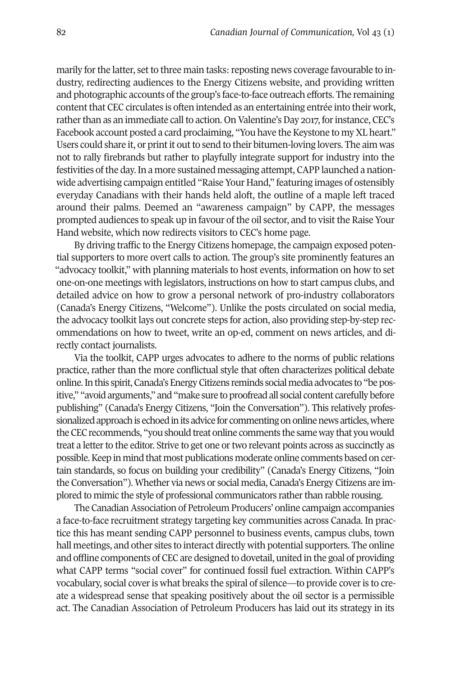marily for the latter, set to three main tasks: reposting news coverage favourable to industry, redirecting audiences to the Energy Citizens website, and providing written and photographic accounts of the group's face-to-face outreach efforts. The remaining content that CEC circulates is often intended as an entertaining entrée into their work, rather than as an immediate call to action. On Valentine's Day 2017, for instance, CEC's Facebook account posted a card proclaiming, "You have the Keystone to my XL heart." Users could share it, or print it out to send to their bitumen-loving lovers. The aim was not to rally firebrands but rather to playfully integrate support for industry into the festivities ofthe day.In a more sustained messaging attempt, CAPP launched a nationwide advertising campaign entitled "Raise Your Hand," featuring images of ostensibly everyday Canadians with their hands held aloft, the outline of a maple left traced around their palms. Deemed an "awareness campaign" by CAPP, the messages prompted audiences to speak up in favour of the oil sector, and to visit the Raise Your Hand website, which now redirects visitors to CEC's home page.

By driving traffic to the Energy Citizens homepage, the campaign exposed potential supporters to more overt calls to action. The group's site prominently features an "advocacy toolkit," with planning materials to host events, information on how to set one-on-one meetings with legislators, instructions on how to start campus clubs, and detailed advice on how to grow a personal network of pro-industry collaborators (Canada's Energy Citizens, "Welcome"). Unlike the posts circulated on social media, the advocacy toolkit lays out concrete steps for action, also providing step-by-step recommendations on how to tweet, write an op-ed, comment on news articles, and directly contact journalists.

Via the toolkit, CAPP urges advocates to adhere to the norms of public relations practice, rather than the more conflictual style that often characterizes political debate online. In this spirit, Canada's Energy Citizens reminds social media advocates to "be positive," "avoidarguments," and"make sure toproofreadall social content carefully before publishing" (Canada's Energy Citizens, "Join the Conversation"). This relatively professionalized approach is echoed in its advice for commenting on online news articles, where the CEC recommends, "you should treat online comments the same way that you would treat a letter to the editor. Strive to get one or two relevant points across as succinctly as possible.Keep in mind that most publications moderate online comments based on certain standards, so focus on building your credibility" (Canada's Energy Citizens, "Join the Conversation"). Whether via news or social media, Canada's Energy Citizens are implored to mimic the style of professional communicators rather than rabble rousing.

The Canadian Association of Petroleum Producers' online campaign accompanies a face-to-face recruitment strategy targeting key communities across Canada. In practice this has meant sending CAPP personnel to business events, campus clubs, town hall meetings, and other sites to interact directly with potential supporters. The online and offline components of CEC are designed to dovetail, united in the goal of providing what CAPP terms "social cover" for continued fossil fuel extraction. Within CAPP's vocabulary, social coveris what breaks the spiral of silence—to provide coveris to create a widespread sense that speaking positively about the oil sector is a permissible act. The Canadian Association of Petroleum Producers has laid out its strategy in its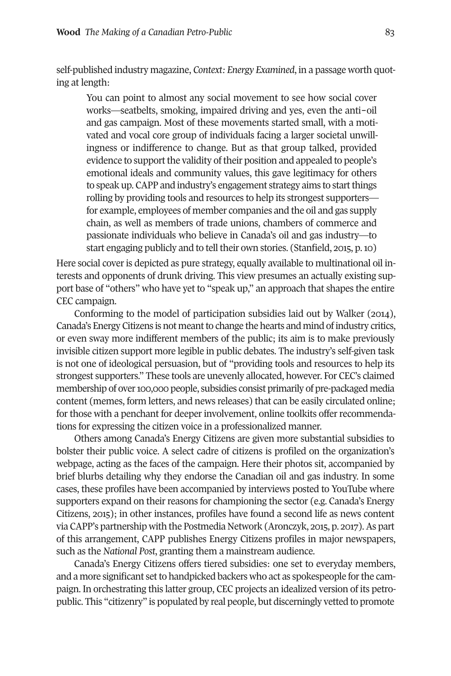self-published industry magazine, *Context: Energy Examined*, in a passage worth quoting at length:

You can point to almost any social movement to see how social cover works—seatbelts, smoking, impaired driving and yes, even the anti-oil and gas campaign. Most of these movements started small, with a motivated and vocal core group of individuals facing a larger societal unwillingness or indifference to change. But as that group talked, provided evidence to support the validity of their position and appealed to people's emotional ideals and community values, this gave legitimacy for others to speak up. CAPP and industry's engagement strategy aims to start things rolling by providing tools and resources to help its strongest supporters for example, employees of member companies and the oil and gas supply chain, as well as members of trade unions, chambers of commerce and passionate individuals who believe in Canada's oil and gas industry—to start engaging publicly and to tell their own stories. (Stanfield, 2015, p. 10)

Here social cover is depicted as pure strategy, equally available to multinational oil interests and opponents of drunk driving. This view presumes an actually existing support base of "others" who have yet to "speak up," an approach that shapes the entire CEC campaign.

Conforming to the model of participation subsidies laid out by Walker (2014), Canada's Energy Citizens is not meant to change the hearts and mind of industry critics, or even sway more indifferent members of the public; its aim is to make previously invisible citizen support more legible in public debates. The industry's self-given task is not one of ideological persuasion, but of "providing tools and resources to help its strongest supporters." These tools are unevenly allocated, however. For CEC's claimed membership of over 100,000 people, subsidies consist primarily of pre-packaged media content (memes, form letters, and news releases) that can be easily circulated online; for those with a penchant for deeper involvement, online toolkits offer recommendations for expressing the citizen voice in a professionalized manner.

Others among Canada's Energy Citizens are given more substantial subsidies to bolster their public voice. A select cadre of citizens is profiled on the organization's webpage, acting as the faces of the campaign. Here their photos sit, accompanied by brief blurbs detailing why they endorse the Canadian oil and gas industry. In some cases, these profiles have been accompanied by interviews posted to YouTube where supporters expand on their reasons for championing the sector (e.g. Canada's Energy Citizens, 2015); in other instances, profiles have found a second life as news content via CAPP's partnership with the Postmedia Network (Aronczyk, 2015, p. 2017).As part of this arrangement, CAPP publishes Energy Citizens profiles in major newspapers, such as the *National Post*, granting them a mainstream audience.

Canada's Energy Citizens offers tiered subsidies: one set to everyday members, and a more significant setto handpicked backers who act as spokespeople forthe campaign. In orchestrating this latter group, CEC projects an idealized version of its petropublic. This "citizenry" is populated by real people, but discerningly vetted to promote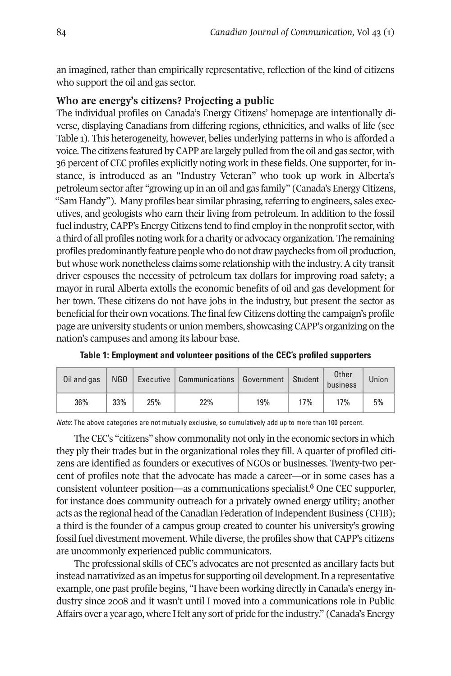an imagined, rather than empirically representative, reflection of the kind of citizens who support the oil and gas sector.

# **Who are energy's citizens? Projecting a public**

The individual profiles on Canada's Energy Citizens' homepage are intentionally diverse, displaying Canadians from differing regions, ethnicities, and walks of life (see Table 1). This heterogeneity, however, belies underlying patterns in who is afforded a voice. The citizens featured by CAPP are largely pulled from the oil and gas sector, with 36 percent of CEC profiles explicitly noting work in these fields. One supporter, forinstance, is introduced as an "Industry Veteran" who took up work in Alberta's petroleum sector after "growing up in an oil and gas family" (Canada's Energy Citizens, "Sam Handy"). Many profiles bear similar phrasing, referring to engineers, sales executives, and geologists who earn their living from petroleum. In addition to the fossil fuel industry, CAPP's Energy Citizens tend to find employ in the nonprofit sector, with a third of all profiles noting work for a charity or advocacy organization. The remaining profiles predominantly feature people who do not draw paychecks from oil production, but whose work nonetheless claims some relationship with the industry. A city transit driver espouses the necessity of petroleum tax dollars for improving road safety; a mayor in rural Alberta extolls the economic benefits of oil and gas development for her town. These citizens do not have jobs in the industry, but present the sector as beneficial fortheir own vocations. The final few Citizens dotting the campaign's profile page are university students or union members, showcasing CAPP's organizing on the nation's campuses and among its labour base.

| Oil and gas |     |     | NGO   Executive   Communications   Government   Student |     |     | Other<br>business | Union |
|-------------|-----|-----|---------------------------------------------------------|-----|-----|-------------------|-------|
| 36%         | 33% | 25% | 22%                                                     | 19% | 17% | 17%               | 5%    |

**Table 1: Employment and volunteer positions of the CEC's profiled supporters**

*Note*: The above categories are not mutually exclusive, so cumulatively add up to more than 100 percent.

The CEC's "citizens" show commonality not only in the economic sectors in which they ply their trades but in the organizational roles they fill. A quarter of profiled citizens are identified as founders or executives of NGOs or businesses. Twenty-two percent of profiles note that the advocate has made a career—or in some cases has a consistent volunteer position—as a communications specialist. **<sup>6</sup>** One CEC supporter, for instance does community outreach for a privately owned energy utility; another acts as the regional head of the Canadian Federation of Independent Business (CFIB); a third is the founder of a campus group created to counter his university's growing fossil fuel divestment movement. While diverse, the profiles show that CAPP's citizens are uncommonly experienced public communicators.

The professional skills of CEC's advocates are not presented as ancillary facts but instead narrativized as an impetus for supporting oil development. In a representative example, one past profile begins, "I have been working directly in Canada's energy industry since 2008 and it wasn't until I moved into a communications role in Public Affairs over a year ago, where Ifelt any sort of pride forthe industry." (Canada's Energy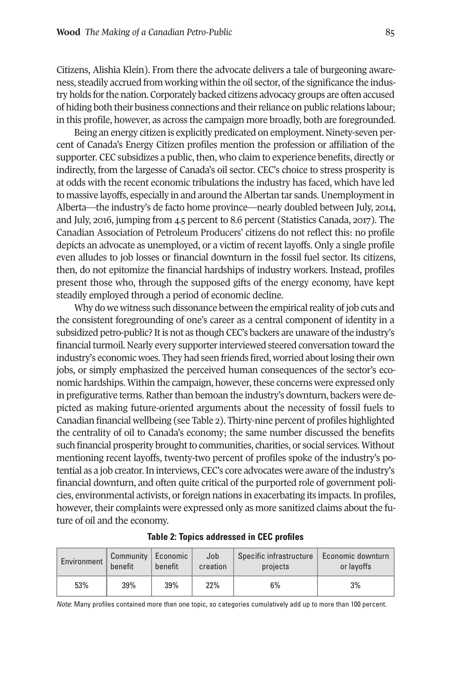Citizens, Alishia Klein). From there the advocate delivers a tale of burgeoning awareness, steadily accrued from working within the oil sector, ofthe significance the industry holds forthe nation. Corporately backed citizens advocacy groups are often accused of hiding both their business connections and theirreliance on public relations labour; in this profile, however, as across the campaign more broadly, both are foregrounded.

Being an energy citizen is explicitly predicated on employment. Ninety-seven percent of Canada's Energy Citizen profiles mention the profession or affiliation of the supporter. CEC subsidizes a public, then, who claim to experience benefits, directly or indirectly, from the largesse of Canada's oil sector. CEC's choice to stress prosperity is at odds with the recent economic tribulations the industry has faced, which have led to massive layoffs, especially in and around the Albertan tar sands. Unemployment in Alberta—the industry's de facto home province—nearly doubled between July, 2014, and July, 2016, jumping from 4.5 percent to 8.6 percent (Statistics Canada, 2017). The Canadian Association of Petroleum Producers' citizens do not reflect this: no profile depicts an advocate as unemployed, or a victim of recent layoffs. Only a single profile even alludes to job losses or financial downturn in the fossil fuel sector. Its citizens, then, do not epitomize the financial hardships of industry workers. Instead, profiles present those who, through the supposed gifts of the energy economy, have kept steadily employed through a period of economic decline.

Why do we witness such dissonance between the empirical reality of job cuts and the consistent foregrounding of one's career as a central component of identity in a subsidized petro-public? It is not as though CEC's backers are unaware of the industry's financial turmoil. Nearly every supporter interviewed steered conversation toward the industry's economic woes. They had seen friends fired, worried aboutlosing their own jobs, or simply emphasized the perceived human consequences of the sector's economic hardships. Within the campaign, however, these concerns were expressed only in prefigurative terms. Rather than bemoan the industry's downturn, backers were depicted as making future-oriented arguments about the necessity of fossil fuels to Canadian financial wellbeing (see Table 2). Thirty-nine percent of profiles highlighted the centrality of oil to Canada's economy; the same number discussed the benefits such financial prosperity brought to communities, charities, or social services. Without mentioning recent layoffs, twenty-two percent of profiles spoke of the industry's potential as a job creator.In interviews, CEC's core advocates were aware ofthe industry's financial downturn, and often quite critical of the purported role of government policies, environmental activists, or foreign nations in exacerbating its impacts. In profiles, however, their complaints were expressed only as more sanitized claims about the future of oil and the economy.

| Environment | Community Economic<br>benefit | benefit | Job<br>creation | Specific infrastructure  <br>projects | Economic downturn<br>or layoffs |
|-------------|-------------------------------|---------|-----------------|---------------------------------------|---------------------------------|
| 53%         | 39%                           | 39%     | 22%             | 6%                                    | 3%                              |

#### **Table 2: Topics addressed in CEC profiles**

*Note*: Many profiles contained more than one topic, so categories cumulatively add up to more than 100 percent.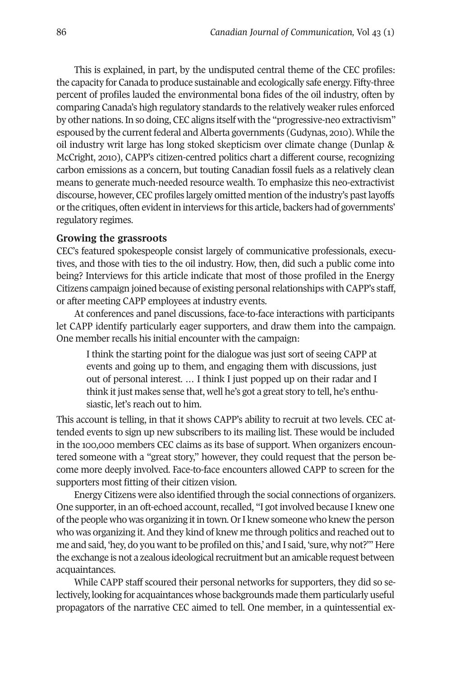This is explained, in part, by the undisputed central theme of the CEC profiles: the capacity for Canada to produce sustainable and ecologically safe energy. Fifty-three percent of profiles lauded the environmental bona fides of the oil industry, often by comparing Canada's high regulatory standards to the relatively weaker rules enforced by other nations.In so doing, CEC aligns itself with the "progressive-neo extractivism" espoused by the currentfederal andAlberta governments (Gudynas, 2010). While the oil industry writ large has long stoked skepticism over climate change (Dunlap & McCright, 2010), CAPP's citizen-centred politics chart a different course, recognizing carbon emissions as a concern, but touting Canadian fossil fuels as a relatively clean means to generate much-needed resource wealth. To emphasize this neo-extractivist discourse, however, CEC profiles largely omitted mention ofthe industry's pastlayoffs or the critiques, often evident in interviews for this article, backers had of governments' regulatory regimes.

#### **Growing the grassroots**

CEC's featured spokespeople consist largely of communicative professionals, executives, and those with ties to the oil industry. How, then, did such a public come into being? Interviews for this article indicate that most of those profiled in the Energy Citizens campaign joined because of existing personal relationships with CAPP's staff, or after meeting CAPP employees at industry events.

At conferences and panel discussions, face-to-face interactions with participants let CAPP identify particularly eager supporters, and draw them into the campaign. One member recalls his initial encounter with the campaign:

I think the starting point for the dialogue was just sort of seeing CAPP at events and going up to them, and engaging them with discussions, just out of personal interest. … I think I just popped up on their radar and I think it just makes sense that, well he's got a great story to tell, he's enthusiastic, let's reach out to him.

This account is telling, in that it shows CAPP's ability to recruit at two levels. CEC attended events to sign up new subscribers to its mailing list. These would be included in the 100,000 members CEC claims as its base of support. When organizers encountered someone with a "great story," however, they could request that the person become more deeply involved. Face-to-face encounters allowed CAPP to screen for the supporters most fitting of their citizen vision.

Energy Citizens were also identified through the social connections of organizers. One supporter, in an oft-echoed account, recalled, "I got involved because I knew one ofthe people who was organizing itin town. OrI knew someone who knew the person who was organizing it.And they kind of knew me through politics and reached outto me and said, 'hey, do you want to be profiled on this,' and I said, 'sure, why not?'" Here the exchange is not a zealous ideological recruitment but an amicable request between acquaintances.

While CAPP staff scoured their personal networks for supporters, they did so selectively, looking for acquaintances whose backgrounds made them particularly useful propagators of the narrative CEC aimed to tell. One member, in a quintessential ex-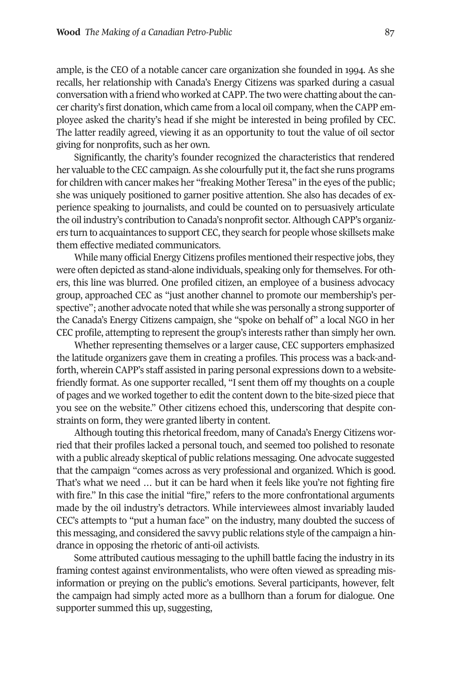ample, is the CEO of a notable cancer care organization she founded in 1994. As she recalls, her relationship with Canada's Energy Citizens was sparked during a casual conversation with a friend who worked at CAPP. The two were chatting about the cancer charity's first donation, which came from a local oil company, when the CAPP employee asked the charity's head if she might be interested in being profiled by CEC. The latter readily agreed, viewing it as an opportunity to tout the value of oil sector giving for nonprofits, such as her own.

Significantly, the charity's founder recognized the characteristics that rendered her valuable to the CEC campaign. As she colourfully put it, the fact she runs programs for children with cancer makes her "freaking Mother Teresa" in the eyes of the public; she was uniquely positioned to garner positive attention. She also has decades of experience speaking to journalists, and could be counted on to persuasively articulate the oil industry's contribution to Canada's nonprofit sector.Although CAPP's organizers turn to acquaintances to support CEC, they search for people whose skillsets make them effective mediated communicators.

While many official Energy Citizens profiles mentioned their respective jobs, they were often depicted as stand-alone individuals, speaking only for themselves. For others, this line was blurred. One profiled citizen, an employee of a business advocacy group, approached CEC as "just another channel to promote our membership's perspective"; another advocate noted that while she was personally a strong supporter of the Canada's Energy Citizens campaign, she "spoke on behalf of" a local NGO in her CEC profile, attempting to represent the group's interests ratherthan simply her own.

Whether representing themselves or a larger cause, CEC supporters emphasized the latitude organizers gave them in creating a profiles. This process was a back-andforth, wherein CAPP's staff assisted in paring personal expressions down to a websitefriendly format. As one supporter recalled, "I sent them off my thoughts on a couple of pages and we worked together to edit the content down to the bite-sized piece that you see on the website." Other citizens echoed this, underscoring that despite constraints on form, they were granted liberty in content.

Although touting this rhetorical freedom, many of Canada's Energy Citizens worried that their profiles lacked a personal touch, and seemed too polished to resonate with a public already skeptical of public relations messaging. One advocate suggested that the campaign "comes across as very professional and organized. Which is good. That's what we need … but it can be hard when it feels like you're not fighting fire with fire." In this case the initial "fire," refers to the more confrontational arguments made by the oil industry's detractors. While interviewees almost invariably lauded CEC's attempts to "put a human face" on the industry, many doubted the success of this messaging, and considered the savvy public relations style of the campaign a hindrance in opposing the rhetoric of anti-oil activists.

Some attributed cautious messaging to the uphill battle facing the industry in its framing contest against environmentalists, who were often viewed as spreading misinformation or preying on the public's emotions. Several participants, however, felt the campaign had simply acted more as a bullhorn than a forum for dialogue. One supporter summed this up, suggesting,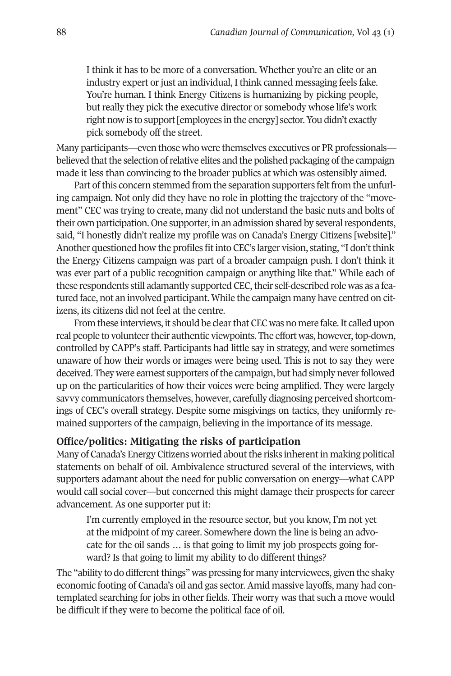I think it has to be more of a conversation. Whether you're an elite or an industry expert or just an individual, I think canned messaging feels fake. You're human. I think Energy Citizens is humanizing by picking people, but really they pick the executive director or somebody whose life's work right now is to support [employees in the energy] sector. You didn't exactly pick somebody off the street.

Many participants—even those who were themselves executives or PR professionals believed that the selection of relative elites and the polished packaging of the campaign made it less than convincing to the broader publics at which was ostensibly aimed.

Part of this concern stemmed from the separation supporters felt from the unfurling campaign. Not only did they have no role in plotting the trajectory of the "movement" CEC was trying to create, many did not understand the basic nuts and bolts of their own participation. One supporter, in an admission shared by several respondents, said, "I honestly didn't realize my profile was on Canada's Energy Citizens [website]." Another questioned how the profiles fit into CEC's larger vision, stating, "I don't think the Energy Citizens campaign was part of a broader campaign push. I don't think it was ever part of a public recognition campaign or anything like that." While each of these respondents still adamantly supported CEC, their self-described role was as a featured face, not an involved participant. While the campaign many have centred on citizens, its citizens did not feel at the centre.

From these interviews, it should be clear that CEC was no mere fake. It called upon real people to volunteer their authentic viewpoints. The effort was, however, top-down, controlled by CAPP's staff. Participants had little say in strategy, and were sometimes unaware of how their words or images were being used. This is not to say they were deceived. They were earnest supporters of the campaign, but had simply never followed up on the particularities of how their voices were being amplified. They were largely savvy communicators themselves, however, carefully diagnosing perceived shortcomings of CEC's overall strategy. Despite some misgivings on tactics, they uniformly remained supporters of the campaign, believing in the importance of its message.

# **Office/politics: Mitigating the risks of participation**

Many of Canada's Energy Citizens worried about the risks inherent in making political statements on behalf of oil. Ambivalence structured several of the interviews, with supporters adamant about the need for public conversation on energy—what CAPP would call social cover—but concerned this might damage their prospects for career advancement. As one supporter put it:

I'm currently employed in the resource sector, but you know, I'm not yet at the midpoint of my career. Somewhere down the line is being an advocate for the oil sands … is that going to limit my job prospects going forward? Is that going to limit my ability to do different things?

The "ability to do different things" was pressing for many interviewees, given the shaky economic footing of Canada's oil and gas sector. Amid massive layoffs, many had contemplated searching for jobs in other fields. Their worry was that such a move would be difficult if they were to become the political face of oil.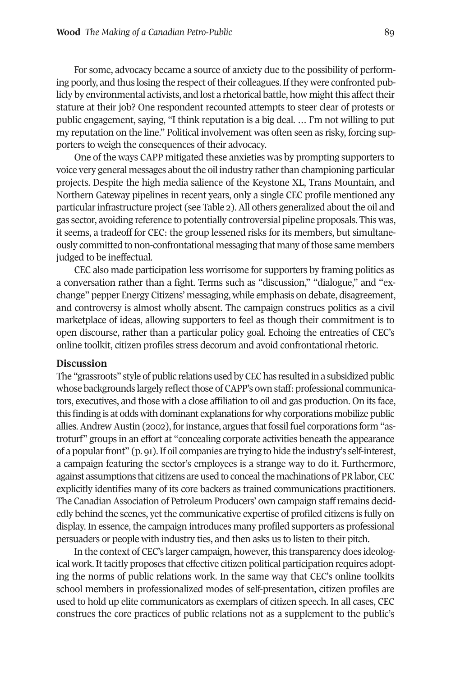For some, advocacy became a source of anxiety due to the possibility of performing poorly, and thus losing the respect oftheir colleagues.Ifthey were confronted publicly by environmental activists, and lost a rhetorical battle, how might this affect their stature at their job? One respondent recounted attempts to steer clear of protests or public engagement, saying, "I think reputation is a big deal. … I'm not willing to put my reputation on the line." Political involvement was often seen as risky, forcing supporters to weigh the consequences of their advocacy.

One of the ways CAPP mitigated these anxieties was by prompting supporters to voice very general messages about the oil industry rather than championing particular projects. Despite the high media salience of the Keystone XL, Trans Mountain, and Northern Gateway pipelines in recent years, only a single CEC profile mentioned any particular infrastructure project (see Table 2). All others generalized about the oil and gas sector, avoiding reference to potentially controversial pipeline proposals. This was, it seems, a tradeoff for CEC: the group lessened risks for its members, but simultaneously committed to non-confrontational messaging that many of those same members judged to be ineffectual.

CEC also made participation less worrisome for supporters by framing politics as a conversation rather than a fight. Terms such as "discussion," "dialogue," and "exchange" pepper Energy Citizens' messaging, while emphasis on debate, disagreement, and controversy is almost wholly absent. The campaign construes politics as a civil marketplace of ideas, allowing supporters to feel as though their commitment is to open discourse, rather than a particular policy goal. Echoing the entreaties of CEC's online toolkit, citizen profiles stress decorum and avoid confrontational rhetoric.

#### **Discussion**

The "grassroots" style of public relations used by CEC has resulted in a subsidized public whose backgrounds largely reflect those of CAPP's own staff: professional communicators, executives, and those with a close affiliation to oil and gas production. On its face, this finding is at odds with dominant explanations for why corporations mobilize public allies. Andrew Austin (2002), for instance, argues that fossil fuel corporations form "astroturf" groups in an effort at "concealing corporate activities beneath the appearance of a popular front" (p. 91). If oil companies are trying to hide the industry's self-interest, a campaign featuring the sector's employees is a strange way to do it. Furthermore, against assumptions that citizens are used to conceal the machinations of PR labor, CEC explicitly identifies many of its core backers as trained communications practitioners. The Canadian Association of Petroleum Producers' own campaign staffremains decidedly behind the scenes, yet the communicative expertise of profiled citizens is fully on display. In essence, the campaign introduces many profiled supporters as professional persuaders or people with industry ties, and then asks us to listen to their pitch.

In the context of CEC's larger campaign, however, this transparency does ideological work. It tacitly proposes that effective citizen political participation requires adopting the norms of public relations work. In the same way that CEC's online toolkits school members in professionalized modes of self-presentation, citizen profiles are used to hold up elite communicators as exemplars of citizen speech. In all cases, CEC construes the core practices of public relations not as a supplement to the public's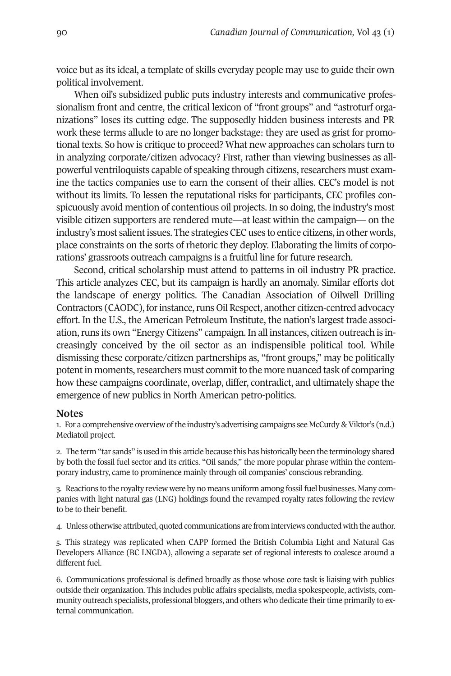voice but as its ideal, a template of skills everyday people may use to guide their own political involvement.

When oil's subsidized public puts industry interests and communicative professionalism front and centre, the critical lexicon of "front groups" and "astroturf organizations" loses its cutting edge. The supposedly hidden business interests and PR work these terms allude to are no longer backstage: they are used as grist for promotional texts. So how is critique to proceed? What new approaches can scholars turn to in analyzing corporate/citizen advocacy? First, rather than viewing businesses as allpowerful ventriloquists capable of speaking through citizens, researchers must examine the tactics companies use to earn the consent of their allies. CEC's model is not without its limits. To lessen the reputational risks for participants, CEC profiles conspicuously avoid mention of contentious oil projects. In so doing, the industry's most visible citizen supporters are rendered mute—at least within the campaign— on the industry's most salient issues. The strategies CEC uses to entice citizens, in other words, place constraints on the sorts of rhetoric they deploy. Elaborating the limits of corporations' grassroots outreach campaigns is a fruitful line for future research.

Second, critical scholarship must attend to patterns in oil industry PR practice. This article analyzes CEC, but its campaign is hardly an anomaly. Similar efforts dot the landscape of energy politics. The Canadian Association of Oilwell Drilling Contractors (CAODC), for instance, runs Oil Respect, another citizen-centred advocacy effort. In the U.S., the American Petroleum Institute, the nation's largest trade association,runs its own "Energy Citizens" campaign. In all instances, citizen outreach is increasingly conceived by the oil sector as an indispensible political tool. While dismissing these corporate/citizen partnerships as, "front groups," may be politically potent in moments, researchers must commit to the more nuanced task of comparing how these campaigns coordinate, overlap, differ, contradict, and ultimately shape the emergence of new publics in North American petro-politics.

#### **Notes**

1. For a comprehensive overview of the industry's advertising campaigns see McCurdy & Viktor's (n.d.) Mediatoil project.

2. The term "tar sands" is used in this article because this has historically been the terminology shared by both the fossil fuel sector and its critics. "Oil sands," the more popular phrase within the contemporary industry, came to prominence mainly through oil companies' conscious rebranding.

3. Reactions to the royalty review were by no means uniform among fossil fuel businesses. Many companies with light natural gas (LNG) holdings found the revamped royalty rates following the review to be to their benefit.

4. Unless otherwise attributed, quoted communications are frominterviews conductedwiththe author.

5. This strategy was replicated when CAPP formed the British Columbia Light and Natural Gas Developers Alliance (BC LNGDA), allowing a separate set of regional interests to coalesce around a different fuel.

6. Communications professional is defined broadly as those whose core task is liaising with publics outside their organization. This includes public affairs specialists, media spokespeople, activists, community outreach specialists, professional bloggers, and others who dedicate their time primarily to external communication.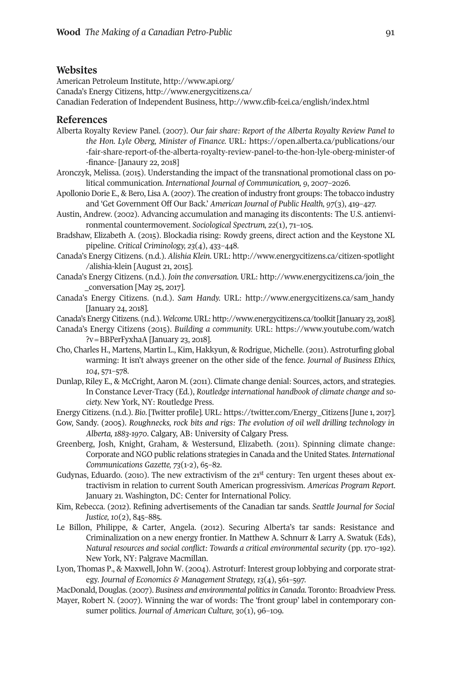#### **Websites**

American Petroleum Institute, <http://www.api.org/> Canada's Energy Citizens, <http://www.energycitizens.ca/> Canadian Federation of Independent Business, <http://www.cfib-fcei.ca/english/index.html>

#### **References**

- Alberta Royalty Review Panel. (2007). *Our fair share: Report of the Alberta Royalty Review Panel to the Hon. Lyle Oberg, Minister of Finance.* URL: [https://open.alberta.ca/publications/our](https://open.alberta.ca/publications/our-fair-share-report-of-the-alberta-royalty-review-panel-to-the-hon-lyle-oberg-minister-of-finance) [-fair-share-report-of-the-alberta-royalty-review-panel-to-the-hon-lyle-oberg-minister-of](https://open.alberta.ca/publications/our-fair-share-report-of-the-alberta-royalty-review-panel-to-the-hon-lyle-oberg-minister-of-finance) [-finance-](https://open.alberta.ca/publications/our-fair-share-report-of-the-alberta-royalty-review-panel-to-the-hon-lyle-oberg-minister-of-finance) [Janaury 22, 2018]
- Aronczyk, Melissa. (2015). Understanding the impact of the transnational promotional class on political communication. *International Journal of Communication, 9*, 2007–2026.
- Apollonio Dorie E., & Bero, Lisa A. (2007). The creation of industry front groups: The tobacco industry and 'Get Government Off Our Back.' *American Journal of Public Health, 97*(3), 419–427.
- Austin, Andrew. (2002). Advancing accumulation and managing its discontents: The U.S. antienvironmental countermovement. *Sociological Spectrum, 22*(1), 71–105.
- Bradshaw, Elizabeth A. (2015). Blockadia rising: Rowdy greens, direct action and the Keystone XL pipeline. *Critical Criminology, 23*(4), 433–448.
- Canada's Energy Citizens. (n.d.). *Alishia Klein.* URL: [http://www.energycitizens.ca/citizen-spotlight](http://www.energycitizens.ca/citizen-spotlight/alishia-klein) [/alishia-klein](http://www.energycitizens.ca/citizen-spotlight/alishia-klein) [August 21, 2015].
- Canada's Energy Citizens. (n.d.). *Join the conversation.* URL: [http://www.energycitizens.ca/join\\_the](http://www.energycitizens.ca/join_the_conversation) [\\_conversation](http://www.energycitizens.ca/join_the_conversation) [May 25, 2017].
- Canada's Energy Citizens. (n.d.). *Sam Handy.* URL: [http://www.energycitizens.ca/sam\\_handy](http://www.energycitizens.ca/sam_handy ) [January 24, 2018].
- Canada's [EnergyCitizens.](http://www.energycitizens.ca/sam_handy ) (n.d.). *Welcome.*URL: [http://www.energycitizens.ca/toolkit\[](http://www.energycitizens.ca/toolkit)January 23, 2018].
- Canada's Energy Citizens (2015). *Building a community.* URL: [https://www.youtube.com/watch](https://www.youtube.com/watch?v=BBPerFyxhaA) [?v=BBPerFyxhaA](https://www.youtube.com/watch?v=BBPerFyxhaA) [January 23, 2018].
- Cho, Charles H., Martens, Martin L., Kim, Hakkyun, & Rodrigue, Michelle. (2011). Astroturfing global warming: It isn't always greener on the other side of the fence. *Journal of Business Ethics, 104*, 571–578.
- Dunlap, Riley E., & McCright, Aaron M. (2011). Climate change denial: Sources, actors, and strategies. In Constance Lever-Tracy (Ed.), *Routledge international handbook of climate change and society.* New York, NY: Routledge Press.

Energy Citizens. (n.d.). *Bio*. [Twitter profile]. URL: [https://twitter.com/Energy\\_Citizens](https://twitter.com/Energy_Citizens) [June 1, 2017].

- Gow, Sandy. (2005). *Roughnecks, rock bits and rigs: The evolution of oil well drilling technology in Alberta, 1883-1970*. Calgary, AB: University of Calgary Press.
- Greenberg, Josh, Knight, Graham, & Westersund, Elizabeth. (2011). Spinning climate change: Corporate and NGO public relations strategies in Canada and the United States. *International Communications Gazette, 73*(1-2), 65–82.
- Gudynas, Eduardo. (2010). The new extractivism of the  $21<sup>st</sup>$  century: Ten urgent theses about extractivism in relation to current South American progressivism. *Americas Program Report*. January 21. Washington, DC: Center for International Policy.
- Kim, Rebecca. (2012). Refining advertisements of the Canadian tar sands. *Seattle Journal for Social Justice, 10*(2), 845–885.
- Le Billon, Philippe, & Carter, Angela. (2012). Securing Alberta's tar sands: Resistance and Criminalization on a new energy frontier. In Matthew A. Schnurr & Larry A. Swatuk (Eds), *Natural resources and social conflict: Towards a critical environmental security* (pp. 170–192)*.* New York, NY: Palgrave Macmillan.
- Lyon, Thomas P., & Maxwell, John W. (2004). Astroturf: Interest group lobbying and corporate strategy. *Journal of Economics & Management Strategy, 13*(4), 561–597.
- MacDonald,Douglas. (2007). *Business and environmental politicsin Canada*. Toronto: Broadview Press.
- Mayer, Robert N. (2007). Winning the war of words: The 'front group' label in contemporary consumer politics. *Journal of American Culture, 30*(1), 96–109.